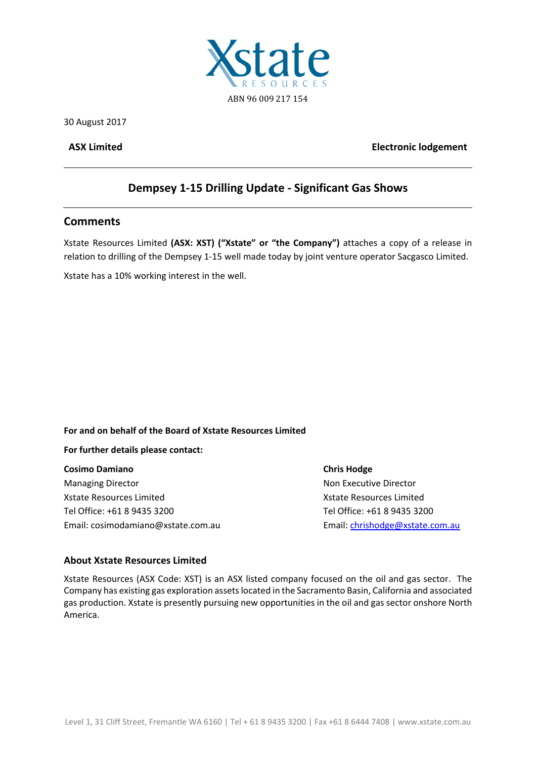

30 August 2017

### **ASX Limited Electronic lodgement**

# **Dempsey 1‐15 Drilling Update ‐ Significant Gas Shows**

# **Comments**

Xstate Resources Limited **(ASX: XST) ("Xstate" or "the Company")** attaches a copy of a release in relation to drilling of the Dempsey 1‐15 well made today by joint venture operator Sacgasco Limited.

Xstate has a 10% working interest in the well.

### **For and on behalf of the Board of Xstate Resources Limited**

### **For further details please contact:**

**Cosimo Damiano Chris Hodge** Managing Director **Managing Director 1997** Mon Executive Director Xstate Resources Limited **Xide Resources Limited Xide Resources Limited** Tel Office: +61 8 9435 3200 Tel Office: +61 8 9435 3200 Email: cosimodamiano@xstate.com.au 
Email: cosimodamiano@xstate.com.au

Email: cosimodamiano@xstate.com.au

## **About Xstate Resources Limited**

Xstate Resources (ASX Code: XST) is an ASX listed company focused on the oil and gas sector. The Company has existing gas exploration assetslocated in the Sacramento Basin, California and associated gas production. Xstate is presently pursuing new opportunities in the oil and gas sector onshore North America.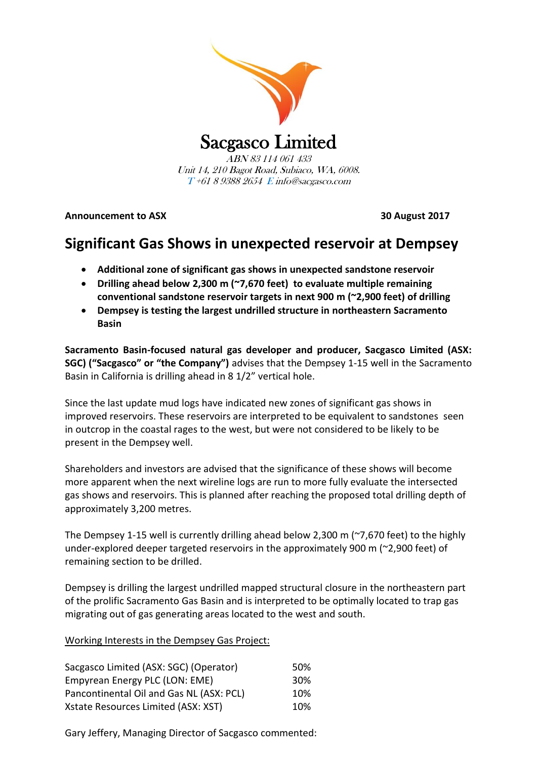

Unit 14, 210 Bagot Road, Subiaco, WA, 6008. T +61 8 9388 2654 E info@sacgasco.com

**Announcement to ASX 30 August 2017**

# **Significant Gas Shows in unexpected reservoir at Dempsey**

- **Additional zone of significant gas shows in unexpected sandstone reservoir**
- **Drilling ahead below 2,300 m (~7,670 feet) to evaluate multiple remaining conventional sandstone reservoir targets in next 900 m (~2,900 feet) of drilling**
- **Dempsey is testing the largest undrilled structure in northeastern Sacramento Basin**

**Sacramento Basin-focused natural gas developer and producer, Sacgasco Limited (ASX: SGC) ("Sacgasco" or "the Company")** advises that the Dempsey 1-15 well in the Sacramento Basin in California is drilling ahead in 8 1/2" vertical hole.

Since the last update mud logs have indicated new zones of significant gas shows in improved reservoirs. These reservoirs are interpreted to be equivalent to sandstones seen in outcrop in the coastal rages to the west, but were not considered to be likely to be present in the Dempsey well.

Shareholders and investors are advised that the significance of these shows will become more apparent when the next wireline logs are run to more fully evaluate the intersected gas shows and reservoirs. This is planned after reaching the proposed total drilling depth of approximately 3,200 metres.

The Dempsey 1-15 well is currently drilling ahead below 2,300 m (~7,670 feet) to the highly under-explored deeper targeted reservoirs in the approximately 900 m (~2,900 feet) of remaining section to be drilled.

Dempsey is drilling the largest undrilled mapped structural closure in the northeastern part of the prolific Sacramento Gas Basin and is interpreted to be optimally located to trap gas migrating out of gas generating areas located to the west and south.

Working Interests in the Dempsey Gas Project:

| Sacgasco Limited (ASX: SGC) (Operator)   | 50% |
|------------------------------------------|-----|
| Empyrean Energy PLC (LON: EME)           | 30% |
| Pancontinental Oil and Gas NL (ASX: PCL) | 10% |
| Xstate Resources Limited (ASX: XST)      | 10% |

Gary Jeffery, Managing Director of Sacgasco commented: